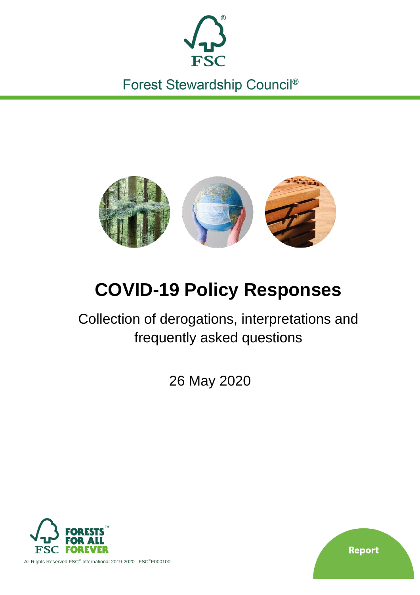

Forest Stewardship Council®



# **COVID-19 Policy Responses**

Collection of derogations, interpretations and frequently asked questions

26 May 2020



**Report** 

All Rights Reserved FSC® International 2019-2020 FSC®F000100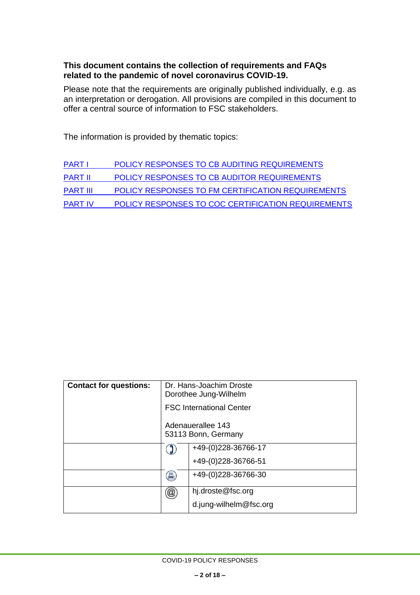### **This document contains the collection of requirements and FAQs related to the pandemic of novel coronavirus COVID-19.**

Please note that the requirements are originally published individually, e.g. as an interpretation or derogation. All provisions are compiled in this document to offer a central source of information to FSC stakeholders.

The information is provided by thematic topics:

| <b>PART I</b>   | POLICY RESPONSES TO CB AUDITING REQUIREMENTS       |
|-----------------|----------------------------------------------------|
| <b>PART II</b>  | POLICY RESPONSES TO CB AUDITOR REQUIREMENTS        |
| <b>PART III</b> | POLICY RESPONSES TO FM CERTIFICATION REQUIREMENTS  |
| <b>PART IV</b>  | POLICY RESPONSES TO COC CERTIFICATION REQUIREMENTS |

| <b>Contact for questions:</b> | Dr. Hans-Joachim Droste<br>Dorothee Jung-Wilhelm |                                          |
|-------------------------------|--------------------------------------------------|------------------------------------------|
|                               |                                                  | <b>FSC International Center</b>          |
|                               |                                                  | Adenauerallee 143<br>53113 Bonn, Germany |
|                               |                                                  | +49-(0)228-36766-17                      |
|                               |                                                  | +49-(0)228-36766-51                      |
|                               | 昌                                                | +49-(0)228-36766-30                      |
|                               | $^{\textregistered}$                             | hj.droste@fsc.org                        |
|                               |                                                  | d.jung-wilhelm@fsc.org                   |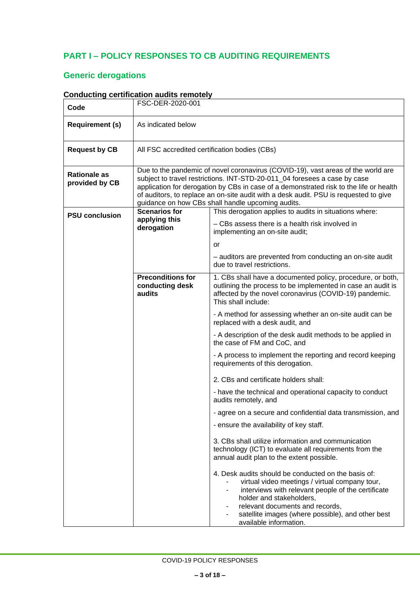## <span id="page-2-0"></span>**PART I – POLICY RESPONSES TO CB AUDITING REQUIREMENTS**

## **Generic derogations**

|                                       | <u>oonaacung ceruncauon aaans remotery</u>                                                                                                                                                                                                                                                                                                                                                           |                                                                                                                                                                                                                                                                                                           |
|---------------------------------------|------------------------------------------------------------------------------------------------------------------------------------------------------------------------------------------------------------------------------------------------------------------------------------------------------------------------------------------------------------------------------------------------------|-----------------------------------------------------------------------------------------------------------------------------------------------------------------------------------------------------------------------------------------------------------------------------------------------------------|
| Code                                  | FSC-DER-2020-001                                                                                                                                                                                                                                                                                                                                                                                     |                                                                                                                                                                                                                                                                                                           |
| <b>Requirement (s)</b>                | As indicated below                                                                                                                                                                                                                                                                                                                                                                                   |                                                                                                                                                                                                                                                                                                           |
| <b>Request by CB</b>                  | All FSC accredited certification bodies (CBs)                                                                                                                                                                                                                                                                                                                                                        |                                                                                                                                                                                                                                                                                                           |
| <b>Rationale as</b><br>provided by CB | Due to the pandemic of novel coronavirus (COVID-19), vast areas of the world are<br>subject to travel restrictions. INT-STD-20-011 04 foresees a case by case<br>application for derogation by CBs in case of a demonstrated risk to the life or health<br>of auditors, to replace an on-site audit with a desk audit. PSU is requested to give<br>guidance on how CBs shall handle upcoming audits. |                                                                                                                                                                                                                                                                                                           |
| <b>PSU conclusion</b>                 | <b>Scenarios for</b>                                                                                                                                                                                                                                                                                                                                                                                 | This derogation applies to audits in situations where:                                                                                                                                                                                                                                                    |
|                                       | applying this<br>derogation                                                                                                                                                                                                                                                                                                                                                                          | - CBs assess there is a health risk involved in<br>implementing an on-site audit;                                                                                                                                                                                                                         |
|                                       |                                                                                                                                                                                                                                                                                                                                                                                                      | or                                                                                                                                                                                                                                                                                                        |
|                                       |                                                                                                                                                                                                                                                                                                                                                                                                      | - auditors are prevented from conducting an on-site audit<br>due to travel restrictions.                                                                                                                                                                                                                  |
|                                       | <b>Preconditions for</b><br>conducting desk<br>audits                                                                                                                                                                                                                                                                                                                                                | 1. CBs shall have a documented policy, procedure, or both,<br>outlining the process to be implemented in case an audit is<br>affected by the novel coronavirus (COVID-19) pandemic.<br>This shall include:                                                                                                |
|                                       |                                                                                                                                                                                                                                                                                                                                                                                                      | - A method for assessing whether an on-site audit can be<br>replaced with a desk audit, and                                                                                                                                                                                                               |
|                                       |                                                                                                                                                                                                                                                                                                                                                                                                      | - A description of the desk audit methods to be applied in<br>the case of FM and CoC, and                                                                                                                                                                                                                 |
|                                       |                                                                                                                                                                                                                                                                                                                                                                                                      | - A process to implement the reporting and record keeping<br>requirements of this derogation.                                                                                                                                                                                                             |
|                                       |                                                                                                                                                                                                                                                                                                                                                                                                      | 2. CBs and certificate holders shall:                                                                                                                                                                                                                                                                     |
|                                       |                                                                                                                                                                                                                                                                                                                                                                                                      | - have the technical and operational capacity to conduct<br>audits remotely, and                                                                                                                                                                                                                          |
|                                       |                                                                                                                                                                                                                                                                                                                                                                                                      | agree on a secure and confidential data transmission, and                                                                                                                                                                                                                                                 |
|                                       |                                                                                                                                                                                                                                                                                                                                                                                                      | - ensure the availability of key staff.                                                                                                                                                                                                                                                                   |
|                                       |                                                                                                                                                                                                                                                                                                                                                                                                      | 3. CBs shall utilize information and communication<br>technology (ICT) to evaluate all requirements from the<br>annual audit plan to the extent possible.                                                                                                                                                 |
|                                       |                                                                                                                                                                                                                                                                                                                                                                                                      | 4. Desk audits should be conducted on the basis of:<br>virtual video meetings / virtual company tour,<br>interviews with relevant people of the certificate<br>holder and stakeholders,<br>relevant documents and records,<br>satellite images (where possible), and other best<br>available information. |

### **Conducting certification audits remotely**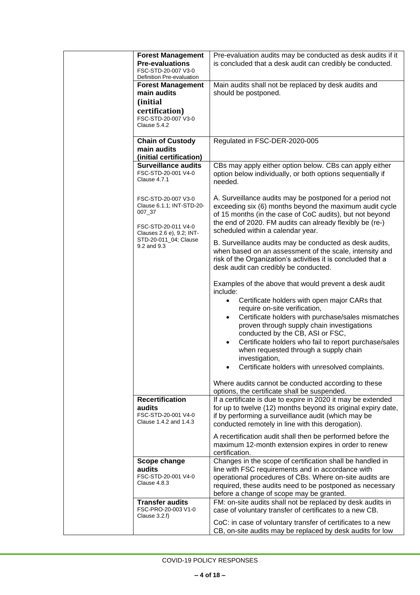| <b>Forest Management</b><br><b>Pre-evaluations</b><br>FSC-STD-20-007 V3-0<br>Definition Pre-evaluation         | Pre-evaluation audits may be conducted as desk audits if it<br>is concluded that a desk audit can credibly be conducted.                                                                                                                                                          |
|----------------------------------------------------------------------------------------------------------------|-----------------------------------------------------------------------------------------------------------------------------------------------------------------------------------------------------------------------------------------------------------------------------------|
| <b>Forest Management</b><br>main audits<br>(initial<br>certification)<br>FSC-STD-20-007 V3-0<br>Clause 5.4.2   | Main audits shall not be replaced by desk audits and<br>should be postponed.                                                                                                                                                                                                      |
| <b>Chain of Custody</b>                                                                                        | Regulated in FSC-DER-2020-005                                                                                                                                                                                                                                                     |
| main audits                                                                                                    |                                                                                                                                                                                                                                                                                   |
| (initial certification)<br><b>Surveillance audits</b>                                                          | CBs may apply either option below. CBs can apply either                                                                                                                                                                                                                           |
| FSC-STD-20-001 V4-0<br>Clause 4.7.1                                                                            | option below individually, or both options sequentially if<br>needed.                                                                                                                                                                                                             |
| FSC-STD-20-007 V3-0<br>Clause 6.1.1; INT-STD-20-<br>007_37<br>FSC-STD-20-011 V4-0<br>Clauses 2.6 e), 9.2; INT- | A. Surveillance audits may be postponed for a period not<br>exceeding six (6) months beyond the maximum audit cycle<br>of 15 months (in the case of CoC audits), but not beyond<br>the end of 2020. FM audits can already flexibly be (re-)<br>scheduled within a calendar year.  |
| STD-20-011_04; Clause<br>9.2 and 9.3                                                                           | B. Surveillance audits may be conducted as desk audits,<br>when based on an assessment of the scale, intensity and<br>risk of the Organization's activities it is concluded that a<br>desk audit can credibly be conducted.                                                       |
|                                                                                                                | Examples of the above that would prevent a desk audit<br>include:<br>Certificate holders with open major CARs that<br>$\bullet$<br>require on-site verification,                                                                                                                  |
|                                                                                                                | Certificate holders with purchase/sales mismatches<br>$\bullet$<br>proven through supply chain investigations<br>conducted by the CB, ASI or FSC,                                                                                                                                 |
|                                                                                                                | Certificate holders who fail to report purchase/sales<br>$\bullet$<br>when requested through a supply chain<br>investigation,                                                                                                                                                     |
|                                                                                                                | Certificate holders with unresolved complaints.                                                                                                                                                                                                                                   |
|                                                                                                                | Where audits cannot be conducted according to these<br>options, the certificate shall be suspended.                                                                                                                                                                               |
| <b>Recertification</b><br>audits<br>FSC-STD-20-001 V4-0<br>Clause 1.4.2 and 1.4.3                              | If a certificate is due to expire in 2020 it may be extended<br>for up to twelve (12) months beyond its original expiry date,<br>if by performing a surveillance audit (which may be<br>conducted remotely in line with this derogation).                                         |
|                                                                                                                | A recertification audit shall then be performed before the<br>maximum 12-month extension expires in order to renew<br>certification.                                                                                                                                              |
| Scope change<br>audits<br>FSC-STD-20-001 V4-0<br>Clause 4.8.3                                                  | Changes in the scope of certification shall be handled in<br>line with FSC requirements and in accordance with<br>operational procedures of CBs. Where on-site audits are<br>required, these audits need to be postponed as necessary<br>before a change of scope may be granted. |
| <b>Transfer audits</b><br>FSC-PRO-20-003 V1-0<br>Clause $3.2.f$ )                                              | FM: on-site audits shall not be replaced by desk audits in<br>case of voluntary transfer of certificates to a new CB.                                                                                                                                                             |
|                                                                                                                | CoC: in case of voluntary transfer of certificates to a new<br>CB, on-site audits may be replaced by desk audits for low                                                                                                                                                          |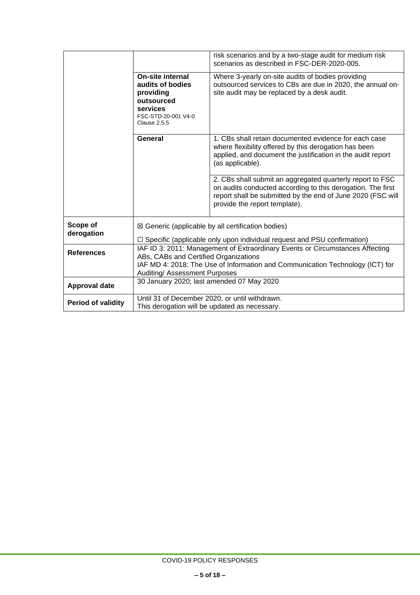|                        | On-site internal<br>audits of bodies<br>providing<br>outsourced<br>services                                                                                                                                                              | risk scenarios and by a two-stage audit for medium risk<br>scenarios as described in FSC-DER-2020-005.<br>Where 3-yearly on-site audits of bodies providing<br>outsourced services to CBs are due in 2020, the annual on-<br>site audit may be replaced by a desk audit. |
|------------------------|------------------------------------------------------------------------------------------------------------------------------------------------------------------------------------------------------------------------------------------|--------------------------------------------------------------------------------------------------------------------------------------------------------------------------------------------------------------------------------------------------------------------------|
|                        | FSC-STD-20-001 V4-0<br><b>Clause 2.5.5</b>                                                                                                                                                                                               |                                                                                                                                                                                                                                                                          |
|                        | General                                                                                                                                                                                                                                  | 1. CBs shall retain documented evidence for each case<br>where flexibility offered by this derogation has been<br>applied, and document the justification in the audit report<br>(as applicable).                                                                        |
|                        |                                                                                                                                                                                                                                          | 2. CBs shall submit an aggregated quarterly report to FSC<br>on audits conducted according to this derogation. The first<br>report shall be submitted by the end of June 2020 (FSC will<br>provide the report template).                                                 |
| Scope of<br>derogation |                                                                                                                                                                                                                                          | $\boxtimes$ Generic (applicable by all certification bodies)                                                                                                                                                                                                             |
|                        |                                                                                                                                                                                                                                          | $\Box$ Specific (applicable only upon individual request and PSU confirmation)                                                                                                                                                                                           |
| <b>References</b>      | IAF ID 3: 2011: Management of Extraordinary Events or Circumstances Affecting<br>ABs, CABs and Certified Organizations<br>IAF MD 4: 2018: The Use of Information and Communication Technology (ICT) for<br>Auditing/ Assessment Purposes |                                                                                                                                                                                                                                                                          |
| <b>Approval date</b>   | 30 January 2020; last amended 07 May 2020                                                                                                                                                                                                |                                                                                                                                                                                                                                                                          |
| Period of validity     | This derogation will be updated as necessary.                                                                                                                                                                                            | Until 31 of December 2020, or until withdrawn.                                                                                                                                                                                                                           |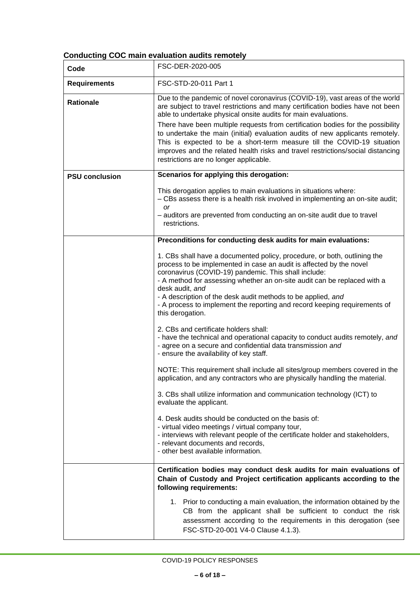## **Conducting COC main evaluation audits remotely**

| Code                  | FSC-DER-2020-005                                                                                                                                                                                                                                                                                                                                                                                                                                                                                                                                                                                             |
|-----------------------|--------------------------------------------------------------------------------------------------------------------------------------------------------------------------------------------------------------------------------------------------------------------------------------------------------------------------------------------------------------------------------------------------------------------------------------------------------------------------------------------------------------------------------------------------------------------------------------------------------------|
| <b>Requirements</b>   | FSC-STD-20-011 Part 1                                                                                                                                                                                                                                                                                                                                                                                                                                                                                                                                                                                        |
| <b>Rationale</b>      | Due to the pandemic of novel coronavirus (COVID-19), vast areas of the world<br>are subject to travel restrictions and many certification bodies have not been<br>able to undertake physical onsite audits for main evaluations.<br>There have been multiple requests from certification bodies for the possibility<br>to undertake the main (initial) evaluation audits of new applicants remotely.<br>This is expected to be a short-term measure till the COVID-19 situation<br>improves and the related health risks and travel restrictions/social distancing<br>restrictions are no longer applicable. |
| <b>PSU conclusion</b> | Scenarios for applying this derogation:                                                                                                                                                                                                                                                                                                                                                                                                                                                                                                                                                                      |
|                       | This derogation applies to main evaluations in situations where:<br>- CBs assess there is a health risk involved in implementing an on-site audit;<br><b>or</b><br>- auditors are prevented from conducting an on-site audit due to travel<br>restrictions.                                                                                                                                                                                                                                                                                                                                                  |
|                       | Preconditions for conducting desk audits for main evaluations:                                                                                                                                                                                                                                                                                                                                                                                                                                                                                                                                               |
|                       | 1. CBs shall have a documented policy, procedure, or both, outlining the<br>process to be implemented in case an audit is affected by the novel<br>coronavirus (COVID-19) pandemic. This shall include:<br>- A method for assessing whether an on-site audit can be replaced with a<br>desk audit, and<br>- A description of the desk audit methods to be applied, and<br>- A process to implement the reporting and record keeping requirements of<br>this derogation.                                                                                                                                      |
|                       | 2. CBs and certificate holders shall:<br>- have the technical and operational capacity to conduct audits remotely, and<br>- agree on a secure and confidential data transmission and<br>- ensure the availability of key staff.                                                                                                                                                                                                                                                                                                                                                                              |
|                       | NOTE: This requirement shall include all sites/group members covered in the<br>application, and any contractors who are physically handling the material.                                                                                                                                                                                                                                                                                                                                                                                                                                                    |
|                       | 3. CBs shall utilize information and communication technology (ICT) to<br>evaluate the applicant.                                                                                                                                                                                                                                                                                                                                                                                                                                                                                                            |
|                       | 4. Desk audits should be conducted on the basis of:<br>- virtual video meetings / virtual company tour,<br>- interviews with relevant people of the certificate holder and stakeholders,<br>- relevant documents and records,<br>- other best available information.                                                                                                                                                                                                                                                                                                                                         |
|                       | Certification bodies may conduct desk audits for main evaluations of<br>Chain of Custody and Project certification applicants according to the<br>following requirements:                                                                                                                                                                                                                                                                                                                                                                                                                                    |
|                       | 1. Prior to conducting a main evaluation, the information obtained by the<br>CB from the applicant shall be sufficient to conduct the risk<br>assessment according to the requirements in this derogation (see<br>FSC-STD-20-001 V4-0 Clause 4.1.3).                                                                                                                                                                                                                                                                                                                                                         |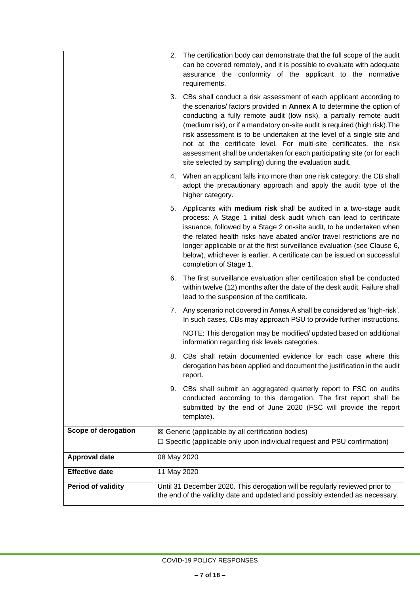|                       | 2.          | The certification body can demonstrate that the full scope of the audit<br>can be covered remotely, and it is possible to evaluate with adequate<br>assurance the conformity of the applicant to the normative<br>requirements.                                                                                                                                                                                                                                                                                                                                                          |
|-----------------------|-------------|------------------------------------------------------------------------------------------------------------------------------------------------------------------------------------------------------------------------------------------------------------------------------------------------------------------------------------------------------------------------------------------------------------------------------------------------------------------------------------------------------------------------------------------------------------------------------------------|
|                       | 3.          | CBs shall conduct a risk assessment of each applicant according to<br>the scenarios/ factors provided in Annex A to determine the option of<br>conducting a fully remote audit (low risk), a partially remote audit<br>(medium risk), or if a mandatory on-site audit is required (high risk). The<br>risk assessment is to be undertaken at the level of a single site and<br>not at the certificate level. For multi-site certificates, the risk<br>assessment shall be undertaken for each participating site (or for each<br>site selected by sampling) during the evaluation audit. |
|                       |             | 4. When an applicant falls into more than one risk category, the CB shall<br>adopt the precautionary approach and apply the audit type of the<br>higher category.                                                                                                                                                                                                                                                                                                                                                                                                                        |
|                       | 5.          | Applicants with medium risk shall be audited in a two-stage audit<br>process: A Stage 1 initial desk audit which can lead to certificate<br>issuance, followed by a Stage 2 on-site audit, to be undertaken when<br>the related health risks have abated and/or travel restrictions are no<br>longer applicable or at the first surveillance evaluation (see Clause 6,<br>below), whichever is earlier. A certificate can be issued on successful<br>completion of Stage 1.                                                                                                              |
|                       | 6.          | The first surveillance evaluation after certification shall be conducted<br>within twelve (12) months after the date of the desk audit. Failure shall<br>lead to the suspension of the certificate.                                                                                                                                                                                                                                                                                                                                                                                      |
|                       |             | 7. Any scenario not covered in Annex A shall be considered as 'high-risk'.<br>In such cases, CBs may approach PSU to provide further instructions.                                                                                                                                                                                                                                                                                                                                                                                                                                       |
|                       |             | NOTE: This derogation may be modified/ updated based on additional<br>information regarding risk levels categories.                                                                                                                                                                                                                                                                                                                                                                                                                                                                      |
|                       | 8.          | CBs shall retain documented evidence for each case where this<br>derogation has been applied and document the justification in the audit<br>report.                                                                                                                                                                                                                                                                                                                                                                                                                                      |
|                       | 9.          | CBs shall submit an aggregated quarterly report to FSC on audits<br>conducted according to this derogation. The first report shall be<br>submitted by the end of June 2020 (FSC will provide the report<br>template).                                                                                                                                                                                                                                                                                                                                                                    |
| Scope of derogation   |             | $\boxtimes$ Generic (applicable by all certification bodies)<br>$\Box$ Specific (applicable only upon individual request and PSU confirmation)                                                                                                                                                                                                                                                                                                                                                                                                                                           |
| <b>Approval date</b>  | 08 May 2020 |                                                                                                                                                                                                                                                                                                                                                                                                                                                                                                                                                                                          |
| <b>Effective date</b> | 11 May 2020 |                                                                                                                                                                                                                                                                                                                                                                                                                                                                                                                                                                                          |
| Period of validity    |             | Until 31 December 2020. This derogation will be regularly reviewed prior to<br>the end of the validity date and updated and possibly extended as necessary.                                                                                                                                                                                                                                                                                                                                                                                                                              |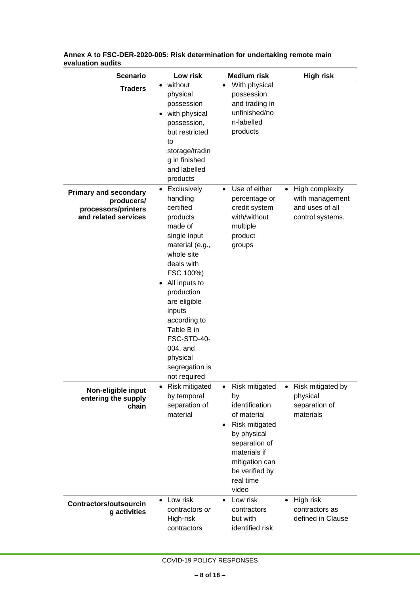| <b>Scenario</b>                                                                           | Low risk                                                                                                                                                                                                                                                                                                               | <b>Medium risk</b>                                                                                                                                                                             | <b>High risk</b>                                                                       |
|-------------------------------------------------------------------------------------------|------------------------------------------------------------------------------------------------------------------------------------------------------------------------------------------------------------------------------------------------------------------------------------------------------------------------|------------------------------------------------------------------------------------------------------------------------------------------------------------------------------------------------|----------------------------------------------------------------------------------------|
| <b>Traders</b>                                                                            | without<br>$\bullet$<br>physical<br>possession<br>• with physical<br>possession,<br>but restricted<br>to<br>storage/tradin<br>g in finished<br>and labelled<br>products                                                                                                                                                | With physical<br>possession<br>and trading in<br>unfinished/no<br>n-labelled<br>products                                                                                                       |                                                                                        |
| <b>Primary and secondary</b><br>producers/<br>processors/printers<br>and related services | Exclusively<br>$\bullet$<br>handling<br>certified<br>products<br>made of<br>single input<br>material (e.g.,<br>whole site<br>deals with<br>FSC 100%)<br>• All inputs to<br>production<br>are eligible<br>inputs<br>according to<br>Table B in<br>FSC-STD-40-<br>004, and<br>physical<br>segregation is<br>not required | Use of either<br>$\bullet$<br>percentage or<br>credit system<br>with/without<br>multiple<br>product<br>groups                                                                                  | High complexity<br>$\bullet$<br>with management<br>and uses of all<br>control systems. |
| Non-eligible input<br>entering the supply<br>chain                                        | Risk mitigated<br>by temporal<br>separation of<br>material                                                                                                                                                                                                                                                             | Risk mitigated<br>by<br>identification<br>of material<br>Risk mitigated<br>$\bullet$<br>by physical<br>separation of<br>materials if<br>mitigation can<br>be verified by<br>real time<br>video | Risk mitigated by<br>physical<br>separation of<br>materials                            |
| <b>Contractors/outsourcin</b><br>g activities                                             | Low risk<br>$\bullet$<br>contractors or<br>High-risk<br>contractors                                                                                                                                                                                                                                                    | Low risk<br>$\bullet$<br>contractors<br>but with<br>identified risk                                                                                                                            | High risk<br>$\bullet$<br>contractors as<br>defined in Clause                          |

| Annex A to FSC-DER-2020-005: Risk determination for undertaking remote main |
|-----------------------------------------------------------------------------|
| evaluation audits                                                           |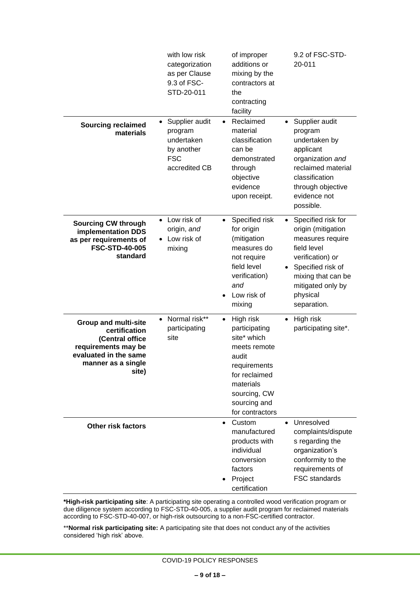|                                                                                                                                                | with low risk<br>categorization<br>as per Clause<br>9.3 of FSC-<br>STD-20-011        | of improper<br>additions or<br>mixing by the<br>contractors at<br>the<br>contracting<br>facility                                                                                 | 9.2 of FSC-STD-<br>20-011                                                                                                                                                                  |
|------------------------------------------------------------------------------------------------------------------------------------------------|--------------------------------------------------------------------------------------|----------------------------------------------------------------------------------------------------------------------------------------------------------------------------------|--------------------------------------------------------------------------------------------------------------------------------------------------------------------------------------------|
| <b>Sourcing reclaimed</b><br>materials                                                                                                         | Supplier audit<br>program<br>undertaken<br>by another<br><b>FSC</b><br>accredited CB | Reclaimed<br>$\bullet$<br>material<br>classification<br>can be<br>demonstrated<br>through<br>objective<br>evidence<br>upon receipt.                                              | Supplier audit<br>$\bullet$<br>program<br>undertaken by<br>applicant<br>organization and<br>reclaimed material<br>classification<br>through objective<br>evidence not<br>possible.         |
| <b>Sourcing CW through</b><br>implementation DDS<br>as per requirements of<br><b>FSC-STD-40-005</b><br>standard                                | Low risk of<br>$\bullet$<br>origin, and<br>• Low risk of<br>mixing                   | Specified risk<br>$\bullet$<br>for origin<br>(mitigation<br>measures do<br>not require<br>field level<br>verification)<br>and<br>Low risk of<br>mixing                           | Specified risk for<br>origin (mitigation<br>measures require<br>field level<br>verification) or<br>Specified risk of<br>mixing that can be<br>mitigated only by<br>physical<br>separation. |
| <b>Group and multi-site</b><br>certification<br>(Central office<br>requirements may be<br>evaluated in the same<br>manner as a single<br>site) | Normal risk**<br>$\bullet$<br>participating<br>site                                  | High risk<br>$\bullet$<br>participating<br>site* which<br>meets remote<br>audit<br>requirements<br>for reclaimed<br>materials<br>sourcing, CW<br>sourcing and<br>for contractors | High risk<br>$\bullet$<br>participating site*.                                                                                                                                             |
| <b>Other risk factors</b>                                                                                                                      |                                                                                      | Custom<br>$\bullet$<br>manufactured<br>products with<br>individual<br>conversion<br>factors<br>Project<br>certification                                                          | Unresolved<br>$\bullet$<br>complaints/dispute<br>s regarding the<br>organization's<br>conformity to the<br>requirements of<br>FSC standards                                                |

**\*High-risk participating site**: A participating site operating a controlled wood verification program or due diligence system according to FSC-STD-40-005, a supplier audit program for reclaimed materials according to FSC-STD-40-007, or high-risk outsourcing to a non-FSC-certified contractor.

\*\***Normal risk participating site:** A participating site that does not conduct any of the activities considered 'high risk' above.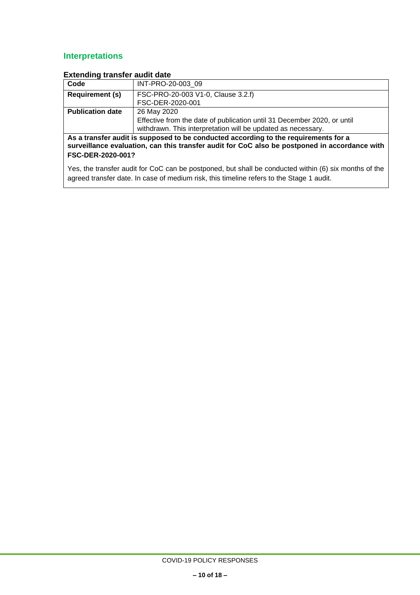# **Interpretations**

| Code                                                                                                                                                                                                      | INT-PRO-20-003 09                                                       |  |
|-----------------------------------------------------------------------------------------------------------------------------------------------------------------------------------------------------------|-------------------------------------------------------------------------|--|
| <b>Requirement (s)</b>                                                                                                                                                                                    | FSC-PRO-20-003 V1-0, Clause 3.2.f)                                      |  |
|                                                                                                                                                                                                           | FSC-DER-2020-001                                                        |  |
| <b>Publication date</b>                                                                                                                                                                                   | 26 May 2020                                                             |  |
|                                                                                                                                                                                                           | Effective from the date of publication until 31 December 2020, or until |  |
|                                                                                                                                                                                                           | withdrawn. This interpretation will be updated as necessary.            |  |
| As a transfer audit is supposed to be conducted according to the requirements for a<br>surveillance evaluation, can this transfer audit for CoC also be postponed in accordance with<br>FSC-DER-2020-001? |                                                                         |  |
| Yes, the transfer audit for CoC can be postponed, but shall be conducted within (6) six months of the<br>agreed transfer date. In case of medium risk, this timeline refers to the Stage 1 audit.         |                                                                         |  |

### **Extending transfer audit date**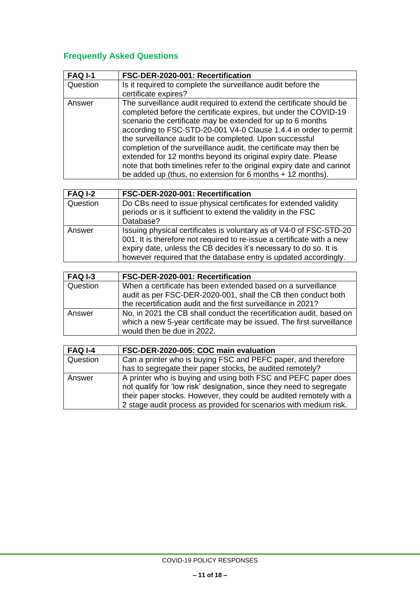# **Frequently Asked Questions**

| <b>FAQ I-1</b> | FSC-DER-2020-001: Recertification                                                                                                                                                                                                                                                                                                                                                                                                                                                                                                                                                                                     |
|----------------|-----------------------------------------------------------------------------------------------------------------------------------------------------------------------------------------------------------------------------------------------------------------------------------------------------------------------------------------------------------------------------------------------------------------------------------------------------------------------------------------------------------------------------------------------------------------------------------------------------------------------|
| Question       | Is it required to complete the surveillance audit before the<br>certificate expires?                                                                                                                                                                                                                                                                                                                                                                                                                                                                                                                                  |
| Answer         | The surveillance audit required to extend the certificate should be<br>completed before the certificate expires, but under the COVID-19<br>scenario the certificate may be extended for up to 6 months<br>according to FSC-STD-20-001 V4-0 Clause 1.4.4 in order to permit<br>the surveillance audit to be completed. Upon successful<br>completion of the surveillance audit, the certificate may then be<br>extended for 12 months beyond its original expiry date. Please<br>note that both timelines refer to the original expiry date and cannot<br>be added up (thus, no extension for 6 months $+$ 12 months). |

| <b>FAQ I-2</b> | FSC-DER-2020-001: Recertification                                                                                                                                                                                                                                                      |
|----------------|----------------------------------------------------------------------------------------------------------------------------------------------------------------------------------------------------------------------------------------------------------------------------------------|
| Question       | Do CBs need to issue physical certificates for extended validity<br>periods or is it sufficient to extend the validity in the FSC<br>Database?                                                                                                                                         |
| Answer         | Issuing physical certificates is voluntary as of V4-0 of FSC-STD-20<br>001. It is therefore not required to re-issue a certificate with a new<br>expiry date, unless the CB decides it's necessary to do so. It is<br>however required that the database entry is updated accordingly. |

| <b>FAQ I-3</b> | FSC-DER-2020-001: Recertification                                                                                                                                          |
|----------------|----------------------------------------------------------------------------------------------------------------------------------------------------------------------------|
| Question       | When a certificate has been extended based on a surveillance<br>audit as per FSC-DER-2020-001, shall the CB then conduct both                                              |
|                | the recertification audit and the first surveillance in 2021?                                                                                                              |
| Answer         | No, in 2021 the CB shall conduct the recertification audit, based on<br>which a new 5-year certificate may be issued. The first surveillance<br>would then be due in 2022. |
|                |                                                                                                                                                                            |

| <b>FAQ I-4</b> | FSC-DER-2020-005: COC main evaluation                                                                                                                                                                                                                                             |
|----------------|-----------------------------------------------------------------------------------------------------------------------------------------------------------------------------------------------------------------------------------------------------------------------------------|
| Question       | Can a printer who is buying FSC and PEFC paper, and therefore                                                                                                                                                                                                                     |
|                | has to segregate their paper stocks, be audited remotely?                                                                                                                                                                                                                         |
| Answer         | A printer who is buying and using both FSC and PEFC paper does<br>not qualify for 'low risk' designation, since they need to segregate<br>their paper stocks. However, they could be audited remotely with a<br>2 stage audit process as provided for scenarios with medium risk. |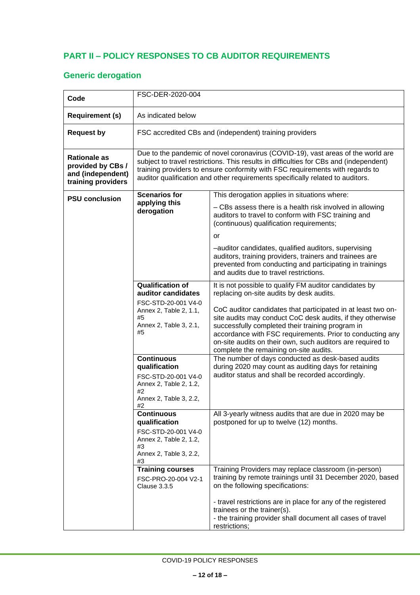## <span id="page-11-0"></span>**PART II – POLICY RESPONSES TO CB AUDITOR REQUIREMENTS**

# **Generic derogation**

| Code                                                                                | FSC-DER-2020-004                                                                                                                     |                                                                                                                                                                                                                                                                                                                                                                                                                                                           |
|-------------------------------------------------------------------------------------|--------------------------------------------------------------------------------------------------------------------------------------|-----------------------------------------------------------------------------------------------------------------------------------------------------------------------------------------------------------------------------------------------------------------------------------------------------------------------------------------------------------------------------------------------------------------------------------------------------------|
|                                                                                     |                                                                                                                                      |                                                                                                                                                                                                                                                                                                                                                                                                                                                           |
| <b>Requirement (s)</b>                                                              | As indicated below                                                                                                                   |                                                                                                                                                                                                                                                                                                                                                                                                                                                           |
| <b>Request by</b>                                                                   |                                                                                                                                      | FSC accredited CBs and (independent) training providers                                                                                                                                                                                                                                                                                                                                                                                                   |
| <b>Rationale as</b><br>provided by CBs /<br>and (independent)<br>training providers |                                                                                                                                      | Due to the pandemic of novel coronavirus (COVID-19), vast areas of the world are<br>subject to travel restrictions. This results in difficulties for CBs and (independent)<br>training providers to ensure conformity with FSC requirements with regards to<br>auditor qualification and other requirements specifically related to auditors.                                                                                                             |
| <b>PSU conclusion</b>                                                               | <b>Scenarios for</b><br>applying this<br>derogation                                                                                  | This derogation applies in situations where:<br>- CBs assess there is a health risk involved in allowing<br>auditors to travel to conform with FSC training and<br>(continuous) qualification requirements;<br>or<br>-auditor candidates, qualified auditors, supervising<br>auditors, training providers, trainers and trainees are<br>prevented from conducting and participating in trainings<br>and audits due to travel restrictions.                |
|                                                                                     | <b>Qualification of</b><br>auditor candidates<br>FSC-STD-20-001 V4-0<br>Annex 2, Table 2, 1.1,<br>#5<br>Annex 2, Table 3, 2.1,<br>#5 | It is not possible to qualify FM auditor candidates by<br>replacing on-site audits by desk audits.<br>CoC auditor candidates that participated in at least two on-<br>site audits may conduct CoC desk audits, if they otherwise<br>successfully completed their training program in<br>accordance with FSC requirements. Prior to conducting any<br>on-site audits on their own, such auditors are required to<br>complete the remaining on-site audits. |
|                                                                                     | <b>Continuous</b><br>qualification<br>FSC-STD-20-001 V4-0<br>Annex 2, Table 2, 1.2,<br>#2<br>Annex 2, Table 3, 2.2,<br>#Z            | The number of days conducted as desk-based audits<br>during 2020 may count as auditing days for retaining<br>auditor status and shall be recorded accordingly.                                                                                                                                                                                                                                                                                            |
|                                                                                     | <b>Continuous</b><br>qualification<br>FSC-STD-20-001 V4-0<br>Annex 2, Table 2, 1.2,<br>#3<br>Annex 2, Table 3, 2.2,<br>#3            | All 3-yearly witness audits that are due in 2020 may be<br>postponed for up to twelve (12) months.                                                                                                                                                                                                                                                                                                                                                        |
|                                                                                     | <b>Training courses</b><br>FSC-PRO-20-004 V2-1<br><b>Clause 3.3.5</b>                                                                | Training Providers may replace classroom (in-person)<br>training by remote trainings until 31 December 2020, based<br>on the following specifications:<br>- travel restrictions are in place for any of the registered<br>trainees or the trainer(s).<br>- the training provider shall document all cases of travel<br>restrictions;                                                                                                                      |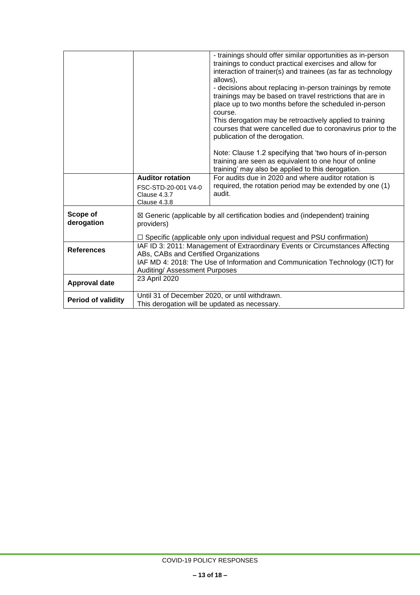|                           |                                                                                                                                                                                                                                                                                                                            | - trainings should offer similar opportunities as in-person<br>trainings to conduct practical exercises and allow for<br>interaction of trainer(s) and trainees (as far as technology<br>allows),<br>- decisions about replacing in-person trainings by remote<br>trainings may be based on travel restrictions that are in<br>place up to two months before the scheduled in-person<br>course.<br>This derogation may be retroactively applied to training<br>courses that were cancelled due to coronavirus prior to the<br>publication of the derogation. |
|---------------------------|----------------------------------------------------------------------------------------------------------------------------------------------------------------------------------------------------------------------------------------------------------------------------------------------------------------------------|--------------------------------------------------------------------------------------------------------------------------------------------------------------------------------------------------------------------------------------------------------------------------------------------------------------------------------------------------------------------------------------------------------------------------------------------------------------------------------------------------------------------------------------------------------------|
|                           |                                                                                                                                                                                                                                                                                                                            | Note: Clause 1.2 specifying that 'two hours of in-person<br>training are seen as equivalent to one hour of online<br>training' may also be applied to this derogation.                                                                                                                                                                                                                                                                                                                                                                                       |
|                           | <b>Auditor rotation</b><br>FSC-STD-20-001 V4-0<br>Clause 4.3.7<br>Clause 4.3.8                                                                                                                                                                                                                                             | For audits due in 2020 and where auditor rotation is<br>required, the rotation period may be extended by one (1)<br>audit.                                                                                                                                                                                                                                                                                                                                                                                                                                   |
| Scope of<br>derogation    | $\boxtimes$ Generic (applicable by all certification bodies and (independent) training<br>providers)                                                                                                                                                                                                                       |                                                                                                                                                                                                                                                                                                                                                                                                                                                                                                                                                              |
| <b>References</b>         | $\Box$ Specific (applicable only upon individual request and PSU confirmation)<br>IAF ID 3: 2011: Management of Extraordinary Events or Circumstances Affecting<br>ABs, CABs and Certified Organizations<br>IAF MD 4: 2018: The Use of Information and Communication Technology (ICT) for<br>Auditing/ Assessment Purposes |                                                                                                                                                                                                                                                                                                                                                                                                                                                                                                                                                              |
| <b>Approval date</b>      | 23 April 2020                                                                                                                                                                                                                                                                                                              |                                                                                                                                                                                                                                                                                                                                                                                                                                                                                                                                                              |
| <b>Period of validity</b> |                                                                                                                                                                                                                                                                                                                            | Until 31 of December 2020, or until withdrawn.<br>This derogation will be updated as necessary.                                                                                                                                                                                                                                                                                                                                                                                                                                                              |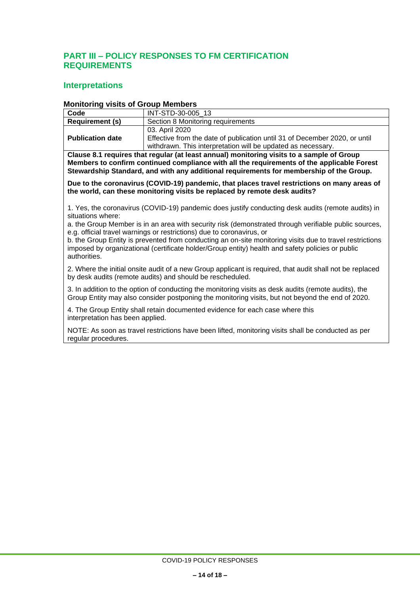### <span id="page-13-0"></span>**PART III – POLICY RESPONSES TO FM CERTIFICATION REQUIREMENTS**

### **Interpretations**

### **Monitoring visits of Group Members**

| Code                    | INT-STD-30-005 13                                                          |  |
|-------------------------|----------------------------------------------------------------------------|--|
| <b>Requirement (s)</b>  | Section 8 Monitoring requirements                                          |  |
|                         | 03. April 2020                                                             |  |
| <b>Publication date</b> | Effective from the date of publication until 31 of December 2020, or until |  |
|                         | withdrawn. This interpretation will be updated as necessary.               |  |

**Clause 8.1 requires that regular (at least annual) monitoring visits to a sample of Group Members to confirm continued compliance with all the requirements of the applicable Forest Stewardship Standard, and with any additional requirements for membership of the Group.**

**Due to the coronavirus (COVID-19) pandemic, that places travel restrictions on many areas of the world, can these monitoring visits be replaced by remote desk audits?**

1. Yes, the coronavirus (COVID-19) pandemic does justify conducting desk audits (remote audits) in situations where:

a. the Group Member is in an area with security risk (demonstrated through verifiable public sources, e.g. official travel warnings or restrictions) due to coronavirus, or

b. the Group Entity is prevented from conducting an on-site monitoring visits due to travel restrictions imposed by organizational (certificate holder/Group entity) health and safety policies or public authorities.

2. Where the initial onsite audit of a new Group applicant is required, that audit shall not be replaced by desk audits (remote audits) and should be rescheduled.

3. In addition to the option of conducting the monitoring visits as desk audits (remote audits), the Group Entity may also consider postponing the monitoring visits, but not beyond the end of 2020.

4. The Group Entity shall retain documented evidence for each case where this interpretation has been applied.

NOTE: As soon as travel restrictions have been lifted, monitoring visits shall be conducted as per regular procedures.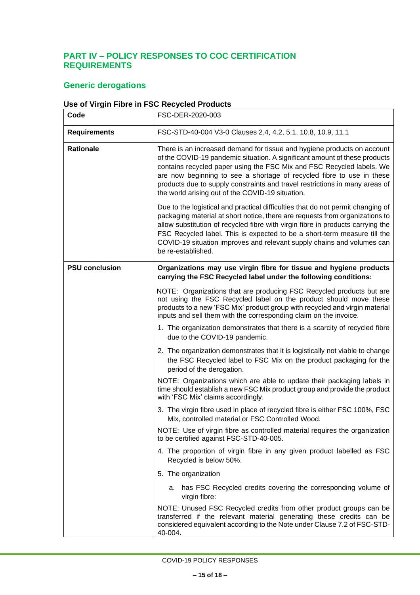### <span id="page-14-0"></span>**PART IV – POLICY RESPONSES TO COC CERTIFICATION REQUIREMENTS**

## **Generic derogations**

### **Use of Virgin Fibre in FSC Recycled Products**

| Code                  | FSC-DER-2020-003                                                                                                                                                                                                                                                                                                                                                                                                                           |
|-----------------------|--------------------------------------------------------------------------------------------------------------------------------------------------------------------------------------------------------------------------------------------------------------------------------------------------------------------------------------------------------------------------------------------------------------------------------------------|
| <b>Requirements</b>   | FSC-STD-40-004 V3-0 Clauses 2.4, 4.2, 5.1, 10.8, 10.9, 11.1                                                                                                                                                                                                                                                                                                                                                                                |
| <b>Rationale</b>      | There is an increased demand for tissue and hygiene products on account<br>of the COVID-19 pandemic situation. A significant amount of these products<br>contains recycled paper using the FSC Mix and FSC Recycled labels. We<br>are now beginning to see a shortage of recycled fibre to use in these<br>products due to supply constraints and travel restrictions in many areas of<br>the world arising out of the COVID-19 situation. |
|                       | Due to the logistical and practical difficulties that do not permit changing of<br>packaging material at short notice, there are requests from organizations to<br>allow substitution of recycled fibre with virgin fibre in products carrying the<br>FSC Recycled label. This is expected to be a short-term measure till the<br>COVID-19 situation improves and relevant supply chains and volumes can<br>be re-established.             |
| <b>PSU conclusion</b> | Organizations may use virgin fibre for tissue and hygiene products<br>carrying the FSC Recycled label under the following conditions:                                                                                                                                                                                                                                                                                                      |
|                       | NOTE: Organizations that are producing FSC Recycled products but are<br>not using the FSC Recycled label on the product should move these<br>products to a new 'FSC Mix' product group with recycled and virgin material<br>inputs and sell them with the corresponding claim on the invoice.                                                                                                                                              |
|                       | 1. The organization demonstrates that there is a scarcity of recycled fibre<br>due to the COVID-19 pandemic.                                                                                                                                                                                                                                                                                                                               |
|                       | 2. The organization demonstrates that it is logistically not viable to change<br>the FSC Recycled label to FSC Mix on the product packaging for the<br>period of the derogation.                                                                                                                                                                                                                                                           |
|                       | NOTE: Organizations which are able to update their packaging labels in<br>time should establish a new FSC Mix product group and provide the product<br>with 'FSC Mix' claims accordingly.                                                                                                                                                                                                                                                  |
|                       | 3. The virgin fibre used in place of recycled fibre is either FSC 100%, FSC<br>Mix, controlled material or FSC Controlled Wood.                                                                                                                                                                                                                                                                                                            |
|                       | NOTE: Use of virgin fibre as controlled material requires the organization<br>to be certified against FSC-STD-40-005.                                                                                                                                                                                                                                                                                                                      |
|                       | 4. The proportion of virgin fibre in any given product labelled as FSC<br>Recycled is below 50%.                                                                                                                                                                                                                                                                                                                                           |
|                       | 5. The organization                                                                                                                                                                                                                                                                                                                                                                                                                        |
|                       | a. has FSC Recycled credits covering the corresponding volume of<br>virgin fibre:                                                                                                                                                                                                                                                                                                                                                          |
|                       | NOTE: Unused FSC Recycled credits from other product groups can be<br>transferred if the relevant material generating these credits can be<br>considered equivalent according to the Note under Clause 7.2 of FSC-STD-<br>40-004.                                                                                                                                                                                                          |

COVID-19 POLICY RESPONSES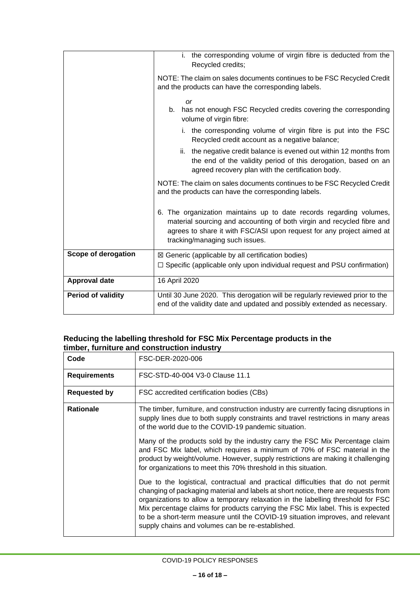|                           | i. the corresponding volume of virgin fibre is deducted from the<br>Recycled credits;                                                                                                                                                                    |
|---------------------------|----------------------------------------------------------------------------------------------------------------------------------------------------------------------------------------------------------------------------------------------------------|
|                           | NOTE: The claim on sales documents continues to be FSC Recycled Credit<br>and the products can have the corresponding labels.                                                                                                                            |
|                           | <b>or</b><br>has not enough FSC Recycled credits covering the corresponding<br>b.<br>volume of virgin fibre:                                                                                                                                             |
|                           | i. the corresponding volume of virgin fibre is put into the FSC<br>Recycled credit account as a negative balance;                                                                                                                                        |
|                           | ii. the negative credit balance is evened out within 12 months from<br>the end of the validity period of this derogation, based on an<br>agreed recovery plan with the certification body.                                                               |
|                           | NOTE: The claim on sales documents continues to be FSC Recycled Credit<br>and the products can have the corresponding labels.                                                                                                                            |
|                           | 6. The organization maintains up to date records regarding volumes,<br>material sourcing and accounting of both virgin and recycled fibre and<br>agrees to share it with FSC/ASI upon request for any project aimed at<br>tracking/managing such issues. |
| Scope of derogation       | $\boxtimes$ Generic (applicable by all certification bodies)<br>$\Box$ Specific (applicable only upon individual request and PSU confirmation)                                                                                                           |
|                           |                                                                                                                                                                                                                                                          |
| <b>Approval date</b>      | 16 April 2020                                                                                                                                                                                                                                            |
| <b>Period of validity</b> | Until 30 June 2020. This derogation will be regularly reviewed prior to the<br>end of the validity date and updated and possibly extended as necessary.                                                                                                  |

#### **Reducing the labelling threshold for FSC Mix Percentage products in the timber, furniture and construction industry**

| Code                | FSC-DER-2020-006                                                                                                                                                                                                                                                                                                                                                                                                                                                                    |
|---------------------|-------------------------------------------------------------------------------------------------------------------------------------------------------------------------------------------------------------------------------------------------------------------------------------------------------------------------------------------------------------------------------------------------------------------------------------------------------------------------------------|
| <b>Requirements</b> | FSC-STD-40-004 V3-0 Clause 11.1                                                                                                                                                                                                                                                                                                                                                                                                                                                     |
| <b>Requested by</b> | FSC accredited certification bodies (CBs)                                                                                                                                                                                                                                                                                                                                                                                                                                           |
| <b>Rationale</b>    | The timber, furniture, and construction industry are currently facing disruptions in<br>supply lines due to both supply constraints and travel restrictions in many areas<br>of the world due to the COVID-19 pandemic situation.                                                                                                                                                                                                                                                   |
|                     | Many of the products sold by the industry carry the FSC Mix Percentage claim<br>and FSC Mix label, which requires a minimum of 70% of FSC material in the<br>product by weight/volume. However, supply restrictions are making it challenging<br>for organizations to meet this 70% threshold in this situation.                                                                                                                                                                    |
|                     | Due to the logistical, contractual and practical difficulties that do not permit<br>changing of packaging material and labels at short notice, there are requests from<br>organizations to allow a temporary relaxation in the labelling threshold for FSC<br>Mix percentage claims for products carrying the FSC Mix label. This is expected<br>to be a short-term measure until the COVID-19 situation improves, and relevant<br>supply chains and volumes can be re-established. |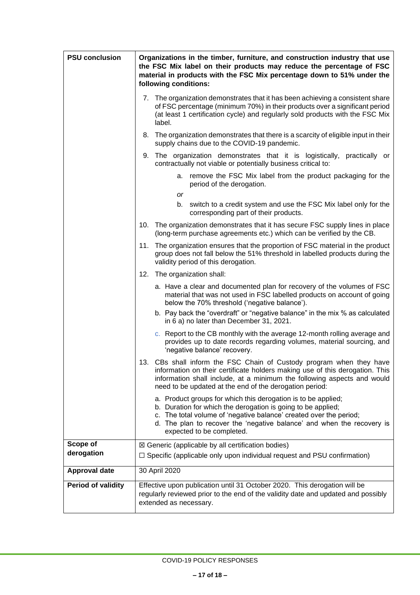| <b>PSU conclusion</b>     | Organizations in the timber, furniture, and construction industry that use<br>the FSC Mix label on their products may reduce the percentage of FSC<br>material in products with the FSC Mix percentage down to 51% under the<br>following conditions:                                                      |  |
|---------------------------|------------------------------------------------------------------------------------------------------------------------------------------------------------------------------------------------------------------------------------------------------------------------------------------------------------|--|
|                           | 7. The organization demonstrates that it has been achieving a consistent share<br>of FSC percentage (minimum 70%) in their products over a significant period<br>(at least 1 certification cycle) and regularly sold products with the FSC Mix<br>label.                                                   |  |
|                           | 8. The organization demonstrates that there is a scarcity of eligible input in their<br>supply chains due to the COVID-19 pandemic.                                                                                                                                                                        |  |
|                           | 9. The organization demonstrates that it is logistically, practically or<br>contractually not viable or potentially business critical to:                                                                                                                                                                  |  |
|                           | remove the FSC Mix label from the product packaging for the<br>а.<br>period of the derogation.                                                                                                                                                                                                             |  |
|                           | or<br>b. switch to a credit system and use the FSC Mix label only for the<br>corresponding part of their products.                                                                                                                                                                                         |  |
|                           | 10. The organization demonstrates that it has secure FSC supply lines in place<br>(long-term purchase agreements etc.) which can be verified by the CB.                                                                                                                                                    |  |
|                           | 11. The organization ensures that the proportion of FSC material in the product<br>group does not fall below the 51% threshold in labelled products during the<br>validity period of this derogation.                                                                                                      |  |
|                           | 12. The organization shall:                                                                                                                                                                                                                                                                                |  |
|                           | a. Have a clear and documented plan for recovery of the volumes of FSC<br>material that was not used in FSC labelled products on account of going<br>below the 70% threshold ('negative balance').                                                                                                         |  |
|                           | b. Pay back the "overdraft" or "negative balance" in the mix % as calculated<br>in 6 a) no later than December 31, 2021.                                                                                                                                                                                   |  |
|                           | c. Report to the CB monthly with the average 12-month rolling average and<br>provides up to date records regarding volumes, material sourcing, and<br>'negative balance' recovery.                                                                                                                         |  |
|                           | 13. CBs shall inform the FSC Chain of Custody program when they have<br>information on their certificate holders making use of this derogation. This<br>information shall include, at a minimum the following aspects and would<br>need to be updated at the end of the derogation period:                 |  |
|                           | a. Product groups for which this derogation is to be applied;<br>b. Duration for which the derogation is going to be applied;<br>c. The total volume of 'negative balance' created over the period;<br>d. The plan to recover the 'negative balance' and when the recovery is<br>expected to be completed. |  |
| Scope of                  | ⊠ Generic (applicable by all certification bodies)                                                                                                                                                                                                                                                         |  |
| derogation                | $\Box$ Specific (applicable only upon individual request and PSU confirmation)                                                                                                                                                                                                                             |  |
| <b>Approval date</b>      | 30 April 2020                                                                                                                                                                                                                                                                                              |  |
| <b>Period of validity</b> | Effective upon publication until 31 October 2020. This derogation will be<br>regularly reviewed prior to the end of the validity date and updated and possibly<br>extended as necessary.                                                                                                                   |  |